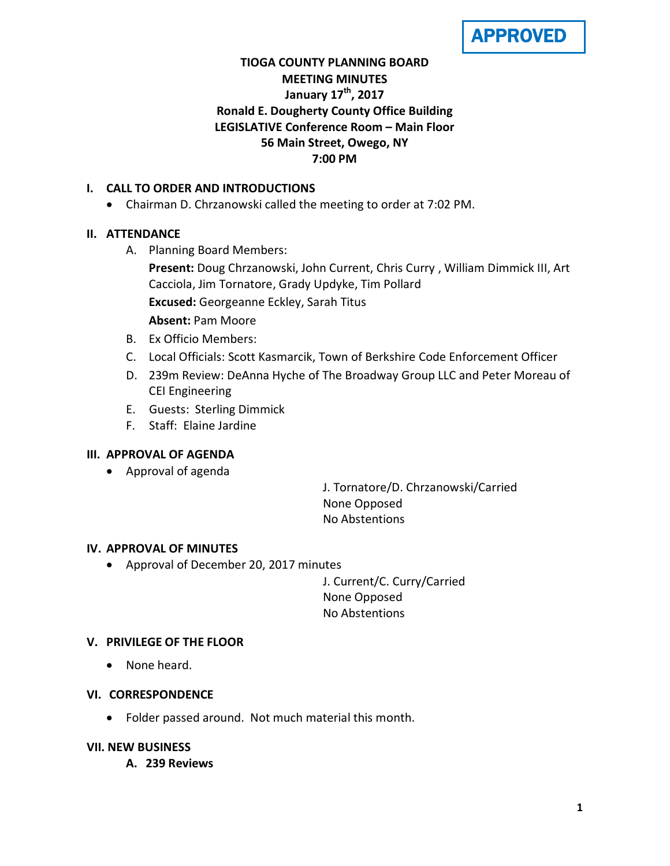APPROVED

# **TIOGA COUNTY PLANNING BOARD MEETING MINUTES January 17th , 2017 Ronald E. Dougherty County Office Building LEGISLATIVE Conference Room – Main Floor 56 Main Street, Owego, NY 7:00 PM**

## **I. CALL TO ORDER AND INTRODUCTIONS**

• Chairman D. Chrzanowski called the meeting to order at 7:02 PM.

## **II. ATTENDANCE**

A. Planning Board Members:

**Present:** Doug Chrzanowski, John Current, Chris Curry , William Dimmick III, Art Cacciola, Jim Tornatore, Grady Updyke, Tim Pollard **Excused:** Georgeanne Eckley, Sarah Titus

**Absent:** Pam Moore

- B. Ex Officio Members:
- C. Local Officials: Scott Kasmarcik, Town of Berkshire Code Enforcement Officer
- D. 239m Review: DeAnna Hyche of The Broadway Group LLC and Peter Moreau of CEI Engineering
- E. Guests: Sterling Dimmick
- F. Staff: Elaine Jardine

## **III. APPROVAL OF AGENDA**

• Approval of agenda

J. Tornatore/D. Chrzanowski/Carried None Opposed No Abstentions

## **IV. APPROVAL OF MINUTES**

• Approval of December 20, 2017 minutes

J. Current/C. Curry/Carried None Opposed No Abstentions

## **V. PRIVILEGE OF THE FLOOR**

• None heard.

## **VI. CORRESPONDENCE**

• Folder passed around. Not much material this month.

## **VII. NEW BUSINESS**

**A. 239 Reviews**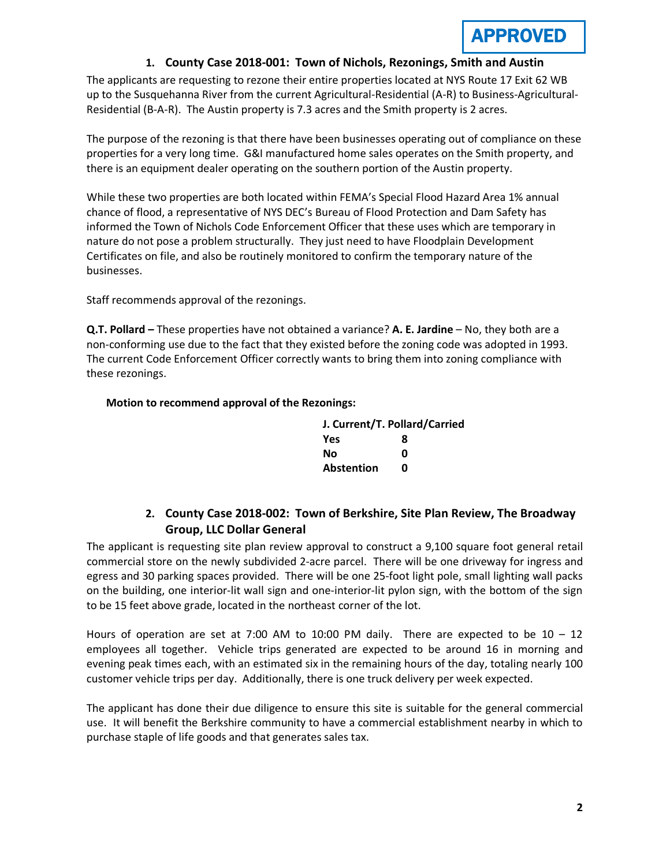## **1. County Case 2018-001: Town of Nichols, Rezonings, Smith and Austin**

The applicants are requesting to rezone their entire properties located at NYS Route 17 Exit 62 WB up to the Susquehanna River from the current Agricultural-Residential (A-R) to Business-Agricultural-Residential (B-A-R). The Austin property is 7.3 acres and the Smith property is 2 acres.

The purpose of the rezoning is that there have been businesses operating out of compliance on these properties for a very long time. G&I manufactured home sales operates on the Smith property, and there is an equipment dealer operating on the southern portion of the Austin property.

While these two properties are both located within FEMA's Special Flood Hazard Area 1% annual chance of flood, a representative of NYS DEC's Bureau of Flood Protection and Dam Safety has informed the Town of Nichols Code Enforcement Officer that these uses which are temporary in nature do not pose a problem structurally. They just need to have Floodplain Development Certificates on file, and also be routinely monitored to confirm the temporary nature of the businesses.

Staff recommends approval of the rezonings.

**Q.T. Pollard –** These properties have not obtained a variance? **A. E. Jardine** – No, they both are a non-conforming use due to the fact that they existed before the zoning code was adopted in 1993. The current Code Enforcement Officer correctly wants to bring them into zoning compliance with these rezonings.

#### **Motion to recommend approval of the Rezonings:**

| J. Current/T. Pollard/Carried |   |
|-------------------------------|---|
| Yes                           | 8 |
| Nο                            | ŋ |
| <b>Abstention</b>             | n |

# **2. County Case 2018-002: Town of Berkshire, Site Plan Review, The Broadway Group, LLC Dollar General**

The applicant is requesting site plan review approval to construct a 9,100 square foot general retail commercial store on the newly subdivided 2-acre parcel. There will be one driveway for ingress and egress and 30 parking spaces provided. There will be one 25-foot light pole, small lighting wall packs on the building, one interior-lit wall sign and one-interior-lit pylon sign, with the bottom of the sign to be 15 feet above grade, located in the northeast corner of the lot.

Hours of operation are set at 7:00 AM to 10:00 PM daily. There are expected to be 10 – 12 employees all together. Vehicle trips generated are expected to be around 16 in morning and evening peak times each, with an estimated six in the remaining hours of the day, totaling nearly 100 customer vehicle trips per day. Additionally, there is one truck delivery per week expected.

The applicant has done their due diligence to ensure this site is suitable for the general commercial use. It will benefit the Berkshire community to have a commercial establishment nearby in which to purchase staple of life goods and that generates sales tax.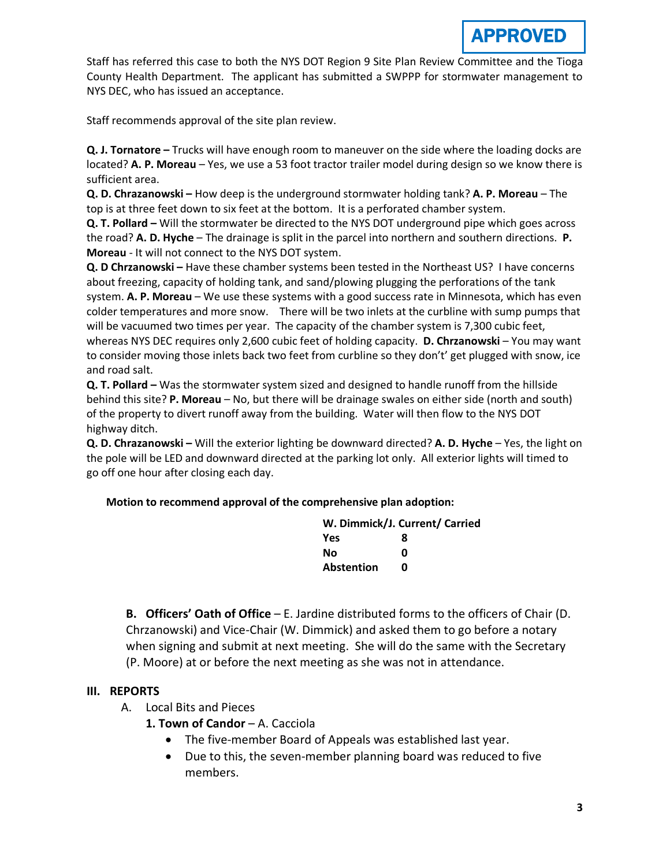Staff has referred this case to both the NYS DOT Region 9 Site Plan Review Committee and the Tioga County Health Department. The applicant has submitted a SWPPP for stormwater management to NYS DEC, who has issued an acceptance.

Staff recommends approval of the site plan review.

**Q. J. Tornatore –** Trucks will have enough room to maneuver on the side where the loading docks are located? **A. P. Moreau** – Yes, we use a 53 foot tractor trailer model during design so we know there is sufficient area.

**Q. D. Chrazanowski –** How deep is the underground stormwater holding tank? **A. P. Moreau** – The top is at three feet down to six feet at the bottom. It is a perforated chamber system.

**Q. T. Pollard –** Will the stormwater be directed to the NYS DOT underground pipe which goes across the road? **A. D. Hyche** – The drainage is split in the parcel into northern and southern directions. **P. Moreau** - It will not connect to the NYS DOT system.

**Q. D Chrzanowski –** Have these chamber systems been tested in the Northeast US? I have concerns about freezing, capacity of holding tank, and sand/plowing plugging the perforations of the tank system. **A. P. Moreau** – We use these systems with a good success rate in Minnesota, which has even colder temperatures and more snow. There will be two inlets at the curbline with sump pumps that will be vacuumed two times per year. The capacity of the chamber system is 7,300 cubic feet, whereas NYS DEC requires only 2,600 cubic feet of holding capacity. **D. Chrzanowski** – You may want to consider moving those inlets back two feet from curbline so they don't' get plugged with snow, ice and road salt.

**Q. T. Pollard –** Was the stormwater system sized and designed to handle runoff from the hillside behind this site? **P. Moreau** – No, but there will be drainage swales on either side (north and south) of the property to divert runoff away from the building. Water will then flow to the NYS DOT highway ditch.

**Q. D. Chrazanowski –** Will the exterior lighting be downward directed? **A. D. Hyche** – Yes, the light on the pole will be LED and downward directed at the parking lot only. All exterior lights will timed to go off one hour after closing each day.

**Motion to recommend approval of the comprehensive plan adoption:**

| W. Dimmick/J. Current/ Carried |   |
|--------------------------------|---|
| Yes                            | 8 |
| No                             | ŋ |
| <b>Abstention</b>              | ŋ |

**B. Officers' Oath of Office** – E. Jardine distributed forms to the officers of Chair (D. Chrzanowski) and Vice-Chair (W. Dimmick) and asked them to go before a notary when signing and submit at next meeting. She will do the same with the Secretary (P. Moore) at or before the next meeting as she was not in attendance.

# **III. REPORTS**

- A. Local Bits and Pieces
	- **1. Town of Candor A. Cacciola** 
		- The five-member Board of Appeals was established last year.
		- Due to this, the seven-member planning board was reduced to five members.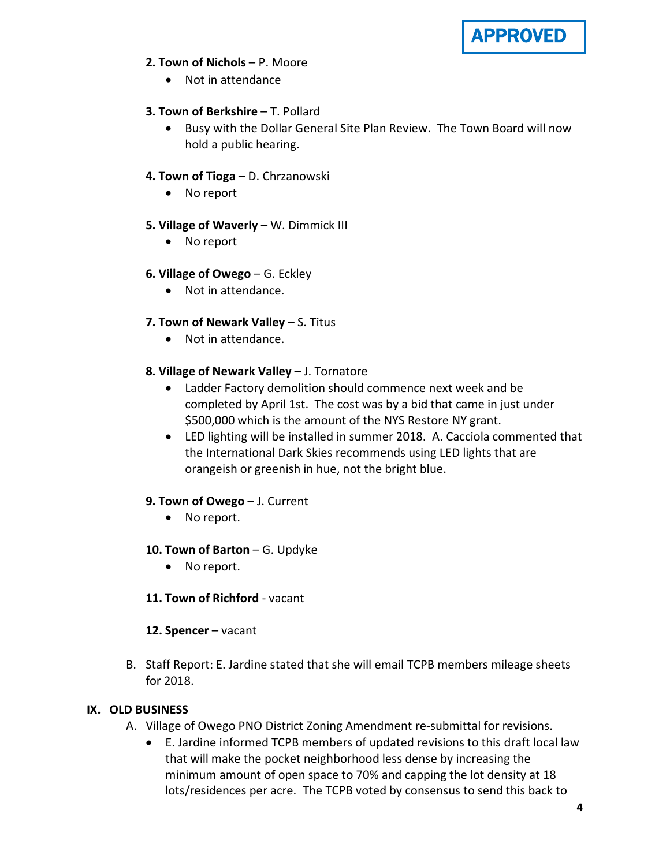

## **2. Town of Nichols** – P. Moore

• Not in attendance

## **3. Town of Berkshire** – T. Pollard

• Busy with the Dollar General Site Plan Review. The Town Board will now hold a public hearing.

## **4. Town of Tioga –** D. Chrzanowski

• No report

## **5. Village of Waverly** – W. Dimmick III

• No report

## **6. Village of Owego** – G. Eckley

• Not in attendance.

## **7. Town of Newark Valley** – S. Titus

• Not in attendance.

## **8. Village of Newark Valley –** J. Tornatore

- Ladder Factory demolition should commence next week and be completed by April 1st. The cost was by a bid that came in just under \$500,000 which is the amount of the NYS Restore NY grant.
- LED lighting will be installed in summer 2018. A. Cacciola commented that the International Dark Skies recommends using LED lights that are orangeish or greenish in hue, not the bright blue.

## **9. Town of Owego** – J. Current

• No report.

## **10. Town of Barton** – G. Updyke

- No report.
- **11. Town of Richford** vacant

## **12. Spencer** – vacant

B. Staff Report: E. Jardine stated that she will email TCPB members mileage sheets for 2018.

## **IX. OLD BUSINESS**

- A. Village of Owego PNO District Zoning Amendment re-submittal for revisions.
	- E. Jardine informed TCPB members of updated revisions to this draft local law that will make the pocket neighborhood less dense by increasing the minimum amount of open space to 70% and capping the lot density at 18 lots/residences per acre. The TCPB voted by consensus to send this back to